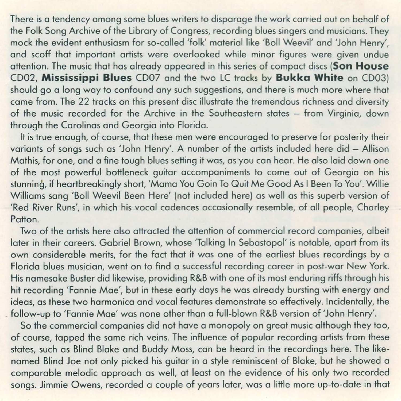There is a tendency amang some blues writers to disparage the work carried out on behalf of the Folk Song Archive of the Library of Congress, recording blues singers and musicians. They mock the evident enthusiasm for so-called 'folk' material like 'Ball Weevil' and 'John Henry', and scoff that important artists were overlooked while minor figures were given undue attention. The music that has already appeared in this series of compact discs **(Son House**  C002, **Mississippi Blues** C007 and the two LC tracks by **Bukka White** on C003) should go a long way to confound any such suggestions, and there is much more where that came from. The 22 tracks on this present disc illustrate the tremendous richness and diversity of the music recorded for the Archive in the Southeastern states - from Virginia, down through the Carolinas and Georgia into Florida.

It is true enough, of course, that these men were encouraged to preserve for posterity their variants of songs such as 'John Henry'. A number of the artists included here did - Allison Mathis, for one, and a fine tough blues setting it was, as you con hear. He also laid down one of the most powerful bottleneck guitar accompaniments to come out of Georgia on his stunning, if heortbreokingly short, 'Mama You Goin To Quit Me Good As I Been To You'. Willie Williams sang 'Boil Weevil Been Here' (not included here) as well as this superb version of 'Red River Runs', in which his vocal cadences occasionally resemble, of all people, Charley Patton.

Two of the artists here also attracted the attention of commercial record companies, albeit loter in their careers. Gabriel Brown, whose 'Talking In Sebastopol' is notable, apart from its own considerable merits, for the fact that it was one of the earliest blues recordings by a Florida blues musician, went on to find a successful recording career in post-war New York. His namesake Buster did likewise, providing R&B with one of its most enduring riffs through his hit recording 'Fannie Mae', but in these early days he was already bursting with energy and ideas, as these two harmonica and vocal features demonstrate so effectively. Incidentally, the \_ follow-up to 'Fannie Mae' was none other than a full-blown R&B version of 'John Henry'.

So the commercial companies did not have a monopoly on great music although they too, of course, tapped the same rich veins. The influence of popular recording artists from these states, such as Blind Blake and Buddy Moss, can be heard in the recordings here. The likenamed Blind Joe not only picked his guitar in a style reminiscent of Blake, but he showed a comparable melodic approach as well, at least on the evidence of his only two recorded songs. Jimmie Owens, recorded a couple of years later, was a little more up-to-date in that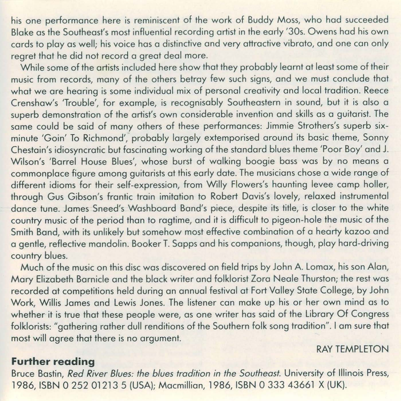his one performance here is reminiscent of the work of Buddy Moss, who had succeeded Blake as the Southeast's mast influential recording artist in the early '30s. Owens had his own cards to play as well; his voice has a distinctive and very attractive vibrato, and one can only regret that he did not record a great deal more.

While some of the artists included here show that they probably learnt at least some of their music from records, many of the others betray few such signs, and we must conclude that what we are hearing is some individual mix of personal creativity and local tradition. Reece Crenshaw's 'Trouble', for example, is recognisably Southeastern in sound, but it is also a superb demonstration of the artist's own considerable invention and skills as a guitarist. The same could be said of many others of these performances: Jimmie Strothers's superb sixminute 'Goin' To Richmond', probably largely extemporised around its basic theme, Sonny Chestain's idiosyncratic but fascinating working of the standard blues theme 'Poor Boy' and J. Wilson's 'Barrel House Blues', whose burst of walking boogie bass was by no means a commonplace figure among guitarists at this early date. The musicians chose a wide range of different idioms for their self-expression, from Willy Flowers's haunting levee camp holler, through Gus Gibson's frantic train imitation to Robert Davis's lovely, relaxed instrumental dance tune. James Sneed's Washboard Band's piece, despite its title, is closer to the white country music of the period than to ragtime, and it is difficult to pigeon-hole the music of the Smith Band, with its unlikely but somehow most effective combination of a hearty kazoo and a gentle, reflective mandolin. Booker T. Sapps and his companions, though, play hard-driving country blues.

Much of the music on this disc was discovered on field trips by John A. Lomax, his son Alan, Mary Elizabeth Barnicle and the black writer and folklorist Zora Neale Thurston; the rest was recorded at competitions held during an annual festival at Fort Valley State College, by John Work, Willis James and Lewis Jones. The listener can make up his or her own mind as to whether it is true that these people were, as one writer has said of the Library Of Congress folklorists: "gathering rather dull renditions of the Southern folk song tradition". I am sure that most will agree that there is no argument.

RAY TEMPLETON

## **Further reading**

Bruce Bastin, *Red River Blues: the blues tradition in the Southeast.* University of Illinois Press, 1986, ISBN 0252 01213 5 (USA); Macmillian, 1986, ISBN 0 333 43661 X (UK).